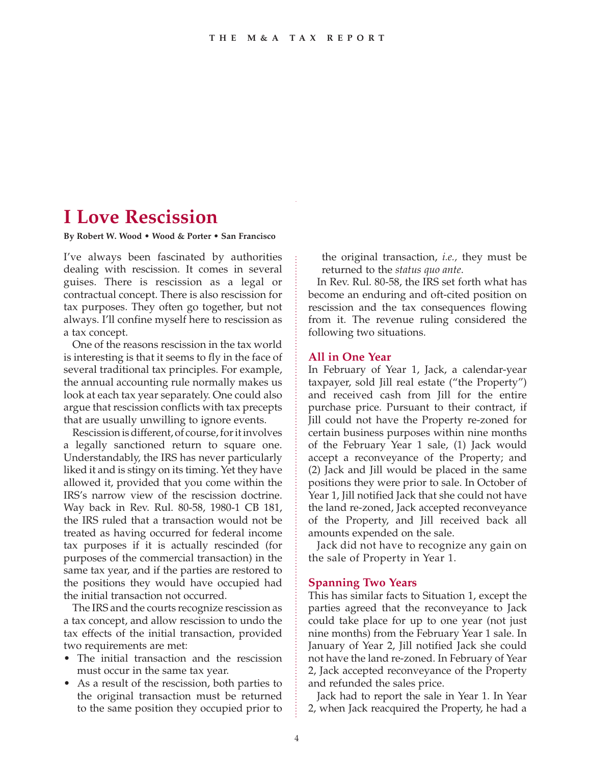# **I Love Rescission**

#### **By Robert W. Wood • Wood & Porter • San Francisco**

I've always been fascinated by authorities dealing with rescission. It comes in several guises. There is rescission as a legal or contractual concept. There is also rescission for tax purposes. They often go together, but not always. I'll confine myself here to rescission as a tax concept.

One of the reasons rescission in the tax world is interesting is that it seems to fly in the face of several traditional tax principles. For example, the annual accounting rule normally makes us look at each tax year separately. One could also argue that rescission conflicts with tax precepts that are usually unwilling to ignore events.

Rescission is different, of course, for it involves a legally sanctioned return to square one. Understandably, the IRS has never particularly liked it and is stingy on its timing. Yet they have allowed it, provided that you come within the IRS's narrow view of the rescission doctrine. Way back in Rev. Rul. 80-58, 1980-1 CB 181, the IRS ruled that a transaction would not be treated as having occurred for federal income tax purposes if it is actually rescinded (for purposes of the commercial transaction) in the same tax year, and if the parties are restored to the positions they would have occupied had the initial transaction not occurred.

The IRS and the courts recognize rescission as a tax concept, and allow rescission to undo the tax effects of the initial transaction, provided two requirements are met:

- The initial transaction and the rescission must occur in the same tax year.
- As a result of the rescission, both parties to the original transaction must be returned to the same position they occupied prior to

the original transaction, *i.e.,* they must be returned to the *status quo ante*.

In Rev. Rul. 80-58, the IRS set forth what has become an enduring and oft-cited position on rescission and the tax consequences flowing from it. The revenue ruling considered the following two situations.

### **All in One Year**

In February of Year 1, Jack, a calendar-year taxpayer, sold Jill real estate ("the Property") and received cash from Jill for the entire purchase price. Pursuant to their contract, if Jill could not have the Property re-zoned for certain business purposes within nine months of the February Year 1 sale, (1) Jack would accept a reconveyance of the Property; and (2) Jack and Jill would be placed in the same positions they were prior to sale. In October of Year 1, Jill notified Jack that she could not have the land re-zoned, Jack accepted reconveyance of the Property, and Jill received back all amounts expended on the sale.

Jack did not have to recognize any gain on the sale of Property in Year 1.

## **Spanning Two Years**

This has similar facts to Situation 1, except the parties agreed that the reconveyance to Jack could take place for up to one year (not just nine months) from the February Year 1 sale. In January of Year 2, Jill notified Jack she could not have the land re-zoned. In February of Year 2, Jack accepted reconveyance of the Property and refunded the sales price.

Jack had to report the sale in Year 1. In Year 2, when Jack reacquired the Property, he had a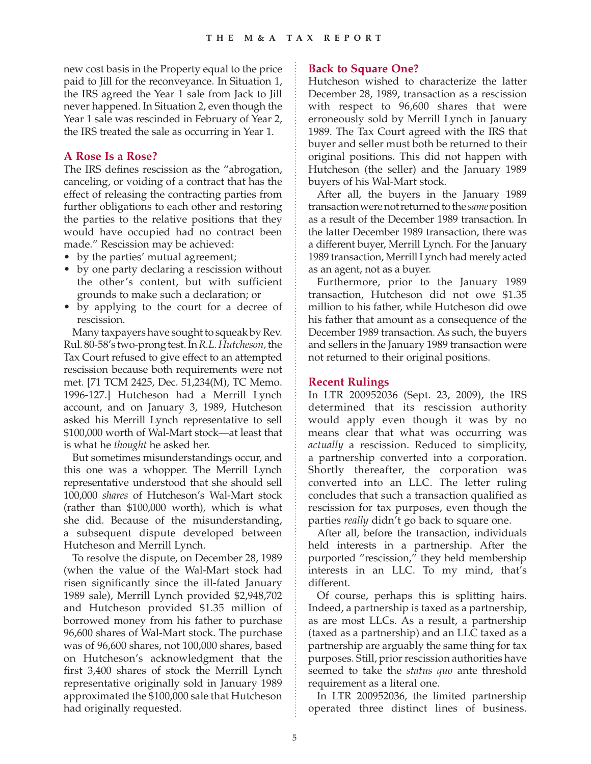new cost basis in the Property equal to the price paid to Jill for the reconveyance. In Situation 1, the IRS agreed the Year 1 sale from Jack to Jill never happened. In Situation 2, even though the Year 1 sale was rescinded in February of Year 2, the IRS treated the sale as occurring in Year 1.

# **A Rose Is a Rose?**

The IRS defines rescission as the "abrogation, canceling, or voiding of a contract that has the effect of releasing the contracting parties from further obligations to each other and restoring the parties to the relative positions that they would have occupied had no contract been made." Rescission may be achieved:

- by the parties' mutual agreement;
- by one party declaring a rescission without the other's content, but with sufficient grounds to make such a declaration; or
- by applying to the court for a decree of rescission.

Many taxpayers have sought to squeak by Rev. Rul. 80-58's two-prong test. In *R.L. Hutcheson,*the Tax Court refused to give effect to an attempted rescission because both requirements were not met. [71 TCM 2425, Dec. 51,234(M), TC Memo. 1996-127.] Hutcheson had a Merrill Lynch account, and on January 3, 1989, Hutcheson asked his Merrill Lynch representative to sell \$100,000 worth of Wal-Mart stock—at least that is what he *thought* he asked her.

But sometimes misunderstandings occur, and this one was a whopper. The Merrill Lynch representative understood that she should sell 100,000 *shares* of Hutcheson's Wal-Mart stock (rather than \$100,000 worth), which is what she did. Because of the misunderstanding, a subsequent dispute developed between Hutcheson and Merrill Lynch.

To resolve the dispute, on December 28, 1989 (when the value of the Wal-Mart stock had risen significantly since the ill-fated January 1989 sale), Merrill Lynch provided \$2,948,702 and Hutcheson provided \$1.35 million of borrowed money from his father to purchase 96,600 shares of Wal-Mart stock. The purchase was of 96,600 shares, not 100,000 shares, based on Hutcheson's acknowledgment that the first 3,400 shares of stock the Merrill Lynch representative originally sold in January 1989 approximated the \$100,000 sale that Hutcheson had originally requested.

# **Back to Square One?**

Hutcheson wished to characterize the latter December 28, 1989, transaction as a rescission with respect to 96,600 shares that were erroneously sold by Merrill Lynch in January 1989. The Tax Court agreed with the IRS that buyer and seller must both be returned to their original positions. This did not happen with Hutcheson (the seller) and the January 1989 buyers of his Wal-Mart stock.

After all, the buyers in the January 1989 transaction were not returned to the *same* position as a result of the December 1989 transaction. In the latter December 1989 transaction, there was a different buyer, Merrill Lynch. For the January 1989 transaction, Merrill Lynch had merely acted as an agent, not as a buyer.

Furthermore, prior to the January 1989 transaction, Hutcheson did not owe \$1.35 million to his father, while Hutcheson did owe his father that amount as a consequence of the December 1989 transaction. As such, the buyers and sellers in the January 1989 transaction were not returned to their original positions.

## **Recent Rulings**

In LTR 200952036 (Sept. 23, 2009), the IRS determined that its rescission authority would apply even though it was by no means clear that what was occurring was *actually* a rescission. Reduced to simplicity, a partnership converted into a corporation. Shortly thereafter, the corporation was converted into an LLC. The letter ruling concludes that such a transaction qualified as rescission for tax purposes, even though the parties *really* didn't go back to square one.

After all, before the transaction, individuals held interests in a partnership. After the purported "rescission," they held membership interests in an LLC. To my mind, that's different.

Of course, perhaps this is splitting hairs. Indeed, a partnership is taxed as a partnership, as are most LLCs. As a result, a partnership (taxed as a partnership) and an LLC taxed as a partnership are arguably the same thing for tax purposes. Still, prior rescission authorities have seemed to take the *status quo* ante threshold requirement as a literal one.

In LTR 200952036, the limited partnership operated three distinct lines of business.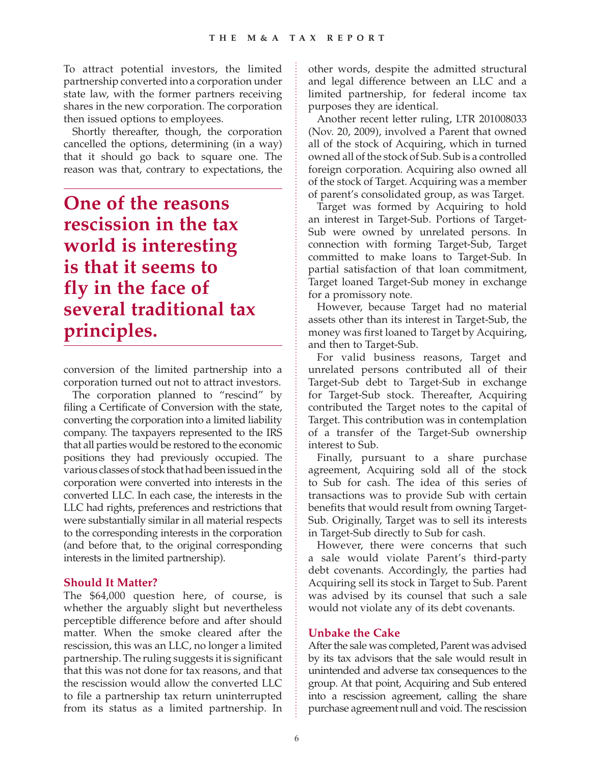To attract potential investors, the limited partnership converted into a corporation under state law, with the former partners receiving shares in the new corporation. The corporation then issued options to employees.

Shortly thereafter, though, the corporation cancelled the options, determining (in a way) that it should go back to square one. The reason was that, contrary to expectations, the

**One of the reasons rescission in the tax world is interesting is that it seems to fly in the face of several traditional tax principles.**

conversion of the limited partnership into a corporation turned out not to attract investors.

The corporation planned to "rescind" by filing a Certificate of Conversion with the state, converting the corporation into a limited liability company. The taxpayers represented to the IRS that all parties would be restored to the economic positions they had previously occupied. The various classes of stock that had been issued in the corporation were converted into interests in the converted LLC. In each case, the interests in the LLC had rights, preferences and restrictions that were substantially similar in all material respects to the corresponding interests in the corporation (and before that, to the original corresponding interests in the limited partnership).

## **Should It Matter?**

The \$64,000 question here, of course, is whether the arguably slight but nevertheless perceptible difference before and after should matter. When the smoke cleared after the rescission, this was an LLC, no longer a limited partnership. The ruling suggests it is significant that this was not done for tax reasons, and that the rescission would allow the converted LLC to file a partnership tax return uninterrupted from its status as a limited partnership. In other words, despite the admitted structural and legal difference between an LLC and a limited partnership, for federal income tax purposes they are identical.

Another recent letter ruling, LTR 201008033 (Nov. 20, 2009), involved a Parent that owned all of the stock of Acquiring, which in turned owned all of the stock of Sub. Sub is a controlled foreign corporation. Acquiring also owned all of the stock of Target. Acquiring was a member of parent's consolidated group, as was Target.

Target was formed by Acquiring to hold an interest in Target-Sub. Portions of Target-Sub were owned by unrelated persons. In connection with forming Target-Sub, Target committed to make loans to Target-Sub. In partial satisfaction of that loan commitment, Target loaned Target-Sub money in exchange for a promissory note.

However, because Target had no material assets other than its interest in Target-Sub, the money was first loaned to Target by Acquiring, and then to Target-Sub.

For valid business reasons, Target and unrelated persons contributed all of their Target-Sub debt to Target-Sub in exchange for Target-Sub stock. Thereafter, Acquiring contributed the Target notes to the capital of Target. This contribution was in contemplation of a transfer of the Target-Sub ownership interest to Sub.

Finally, pursuant to a share purchase agreement, Acquiring sold all of the stock to Sub for cash. The idea of this series of transactions was to provide Sub with certain benefits that would result from owning Target-Sub. Originally, Target was to sell its interests in Target-Sub directly to Sub for cash.

However, there were concerns that such a sale would violate Parent's third-party debt covenants. Accordingly, the parties had Acquiring sell its stock in Target to Sub. Parent was advised by its counsel that such a sale would not violate any of its debt covenants.

## **Unbake the Cake**

After the sale was completed, Parent was advised by its tax advisors that the sale would result in unintended and adverse tax consequences to the group. At that point, Acquiring and Sub entered into a rescission agreement, calling the share purchase agreement null and void. The rescission